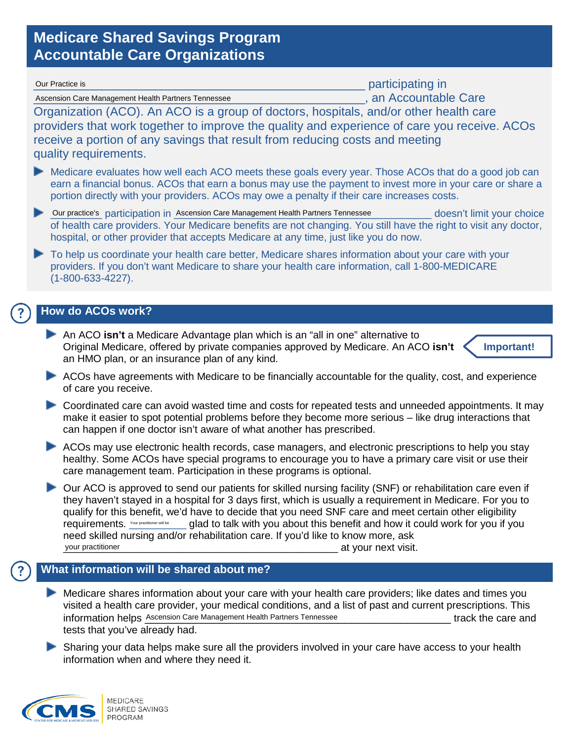## **Medicare Shared Savings Program Accountable Care Organizations**

| participating in<br>Our Practice is                                                                                                                                                                                                                                                                                                                                                                                                                                                                                                                                                                                                                                  |
|----------------------------------------------------------------------------------------------------------------------------------------------------------------------------------------------------------------------------------------------------------------------------------------------------------------------------------------------------------------------------------------------------------------------------------------------------------------------------------------------------------------------------------------------------------------------------------------------------------------------------------------------------------------------|
| , an Accountable Care<br>Ascension Care Management Health Partners Tennessee                                                                                                                                                                                                                                                                                                                                                                                                                                                                                                                                                                                         |
| Organization (ACO). An ACO is a group of doctors, hospitals, and/or other health care<br>providers that work together to improve the quality and experience of care you receive. ACOs<br>receive a portion of any savings that result from reducing costs and meeting<br>quality requirements.                                                                                                                                                                                                                                                                                                                                                                       |
| Medicare evaluates how well each ACO meets these goals every year. Those ACOs that do a good job can<br>earn a financial bonus. ACOs that earn a bonus may use the payment to invest more in your care or share a<br>portion directly with your providers. ACOs may owe a penalty if their care increases costs.                                                                                                                                                                                                                                                                                                                                                     |
| Our practice's participation in Ascension Care Management Health Partners Tennessee<br>doesn't limit your choice<br>of health care providers. Your Medicare benefits are not changing. You still have the right to visit any doctor,<br>hospital, or other provider that accepts Medicare at any time, just like you do now.                                                                                                                                                                                                                                                                                                                                         |
| To help us coordinate your health care better, Medicare shares information about your care with your<br>⋗<br>providers. If you don't want Medicare to share your health care information, call 1-800-MEDICARE<br>$(1 - 800 - 633 - 4227)$ .                                                                                                                                                                                                                                                                                                                                                                                                                          |
| <b>How do ACOs work?</b>                                                                                                                                                                                                                                                                                                                                                                                                                                                                                                                                                                                                                                             |
| An ACO isn't a Medicare Advantage plan which is an "all in one" alternative to<br>Original Medicare, offered by private companies approved by Medicare. An ACO isn't<br>Important!<br>an HMO plan, or an insurance plan of any kind.                                                                                                                                                                                                                                                                                                                                                                                                                                 |
| ACOs have agreements with Medicare to be financially accountable for the quality, cost, and experience<br>of care you receive.                                                                                                                                                                                                                                                                                                                                                                                                                                                                                                                                       |
| Coordinated care can avoid wasted time and costs for repeated tests and unneeded appointments. It may<br>make it easier to spot potential problems before they become more serious - like drug interactions that<br>can happen if one doctor isn't aware of what another has prescribed.                                                                                                                                                                                                                                                                                                                                                                             |
| ACOs may use electronic health records, case managers, and electronic prescriptions to help you stay<br>healthy. Some ACOs have special programs to encourage you to have a primary care visit or use their<br>care management team. Participation in these programs is optional.                                                                                                                                                                                                                                                                                                                                                                                    |
| Our ACO is approved to send our patients for skilled nursing facility (SNF) or rehabilitation care even if<br>they haven't stayed in a hospital for 3 days first, which is usually a requirement in Medicare. For you to<br>qualify for this benefit, we'd have to decide that you need SNF care and meet certain other eligibility<br>requirements. Your practitioner will be<br>glad to talk with you about this benefit and how it could work for you if you<br>need skilled nursing and/or rehabilitation care. If you'd like to know more, ask<br>your practitioner<br>at your next visit.<br><u> 1980 - Johann John Stone, mars eta biztanleria (h. 1980).</u> |
| What information will be shared about me?                                                                                                                                                                                                                                                                                                                                                                                                                                                                                                                                                                                                                            |
| Medicare shares information about your care with your health care providers; like dates and times you<br>visited a health care provider, your medical conditions, and a list of past and current prescriptions. This<br>information helps Ascension Care Management Health Partners Tennessee<br>track the care and<br>tests that you've already had.                                                                                                                                                                                                                                                                                                                |
| Sharing your data helps make sure all the providers involved in your care have access to your health<br>information when and where they need it.                                                                                                                                                                                                                                                                                                                                                                                                                                                                                                                     |

*CMS* 

 $\bigcirc$ 

 $(?)$